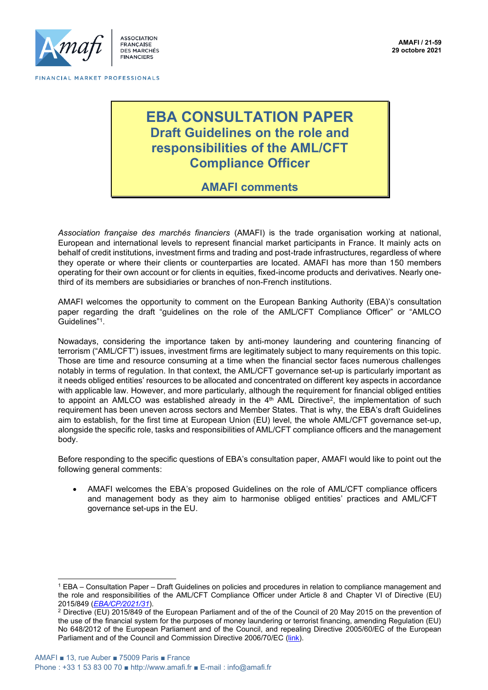

**ASSOCIATION ERANCAISE DES MARCHÉS FINANCIFRS** 

# **EBA CONSULTATION PAPER Draft Guidelines on the role and responsibilities of the AML/CFT Compliance Officer**

## **AMAFI comments**

*Association française des marchés financiers* (AMAFI) is the trade organisation working at national, European and international levels to represent financial market participants in France. It mainly acts on behalf of credit institutions, investment firms and trading and post-trade infrastructures, regardless of where they operate or where their clients or counterparties are located. AMAFI has more than 150 members operating for their own account or for clients in equities, fixed-income products and derivatives. Nearly onethird of its members are subsidiaries or branches of non-French institutions.

AMAFI welcomes the opportunity to comment on the European Banking Authority (EBA)'s consultation paper regarding the draft "guidelines on the role of the AML/CFT Compliance Officer" or "AMLCO Guidelines"<sup>1</sup> .

Nowadays, considering the importance taken by anti-money laundering and countering financing of terrorism ("AML/CFT") issues, investment firms are legitimately subject to many requirements on this topic. Those are time and resource consuming at a time when the financial sector faces numerous challenges notably in terms of regulation. In that context, the AML/CFT governance set-up is particularly important as it needs obliged entities' resources to be allocated and concentrated on different key aspects in accordance with applicable law. However, and more particularly, although the requirement for financial obliged entities to appoint an AMLCO was established already in the  $4^{\text{th}}$  AML Directive<sup>2</sup>, the implementation of such requirement has been uneven across sectors and Member States. That is why, the EBA's draft Guidelines aim to establish, for the first time at European Union (EU) level, the whole AML/CFT governance set-up, alongside the specific role, tasks and responsibilities of AML/CFT compliance officers and the management body.

Before responding to the specific questions of EBA's consultation paper, AMAFI would like to point out the following general comments:

• AMAFI welcomes the EBA's proposed Guidelines on the role of AML/CFT compliance officers and management body as they aim to harmonise obliged entities' practices and AML/CFT governance set-ups in the EU.

<sup>1</sup> EBA – Consultation Paper – Draft Guidelines on policies and procedures in relation to compliance management and the role and responsibilities of the AML/CFT Compliance Officer under Article 8 and Chapter VI of Directive (EU) 2015/849 (*[EBA/CP/2021/31](https://www.eba.europa.eu/calendar/consultation-draft-guidelines-role-tasks-and-responsibilities-amlcft-compliance-officers)*).

<sup>2</sup> Directive (EU) 2015/849 of the European Parliament and of the of the Council of 20 May 2015 on the prevention of the use of the financial system for the purposes of money laundering or terrorist financing, amending Regulation (EU) No 648/2012 of the European Parliament and of the Council, and repealing Directive 2005/60/EC of the European Parliament and of the Council and Commission Directive 2006/70/EC [\(link\)](https://eur-lex.europa.eu/legal-content/EN/TXT/?uri=celex%3A32015L0849).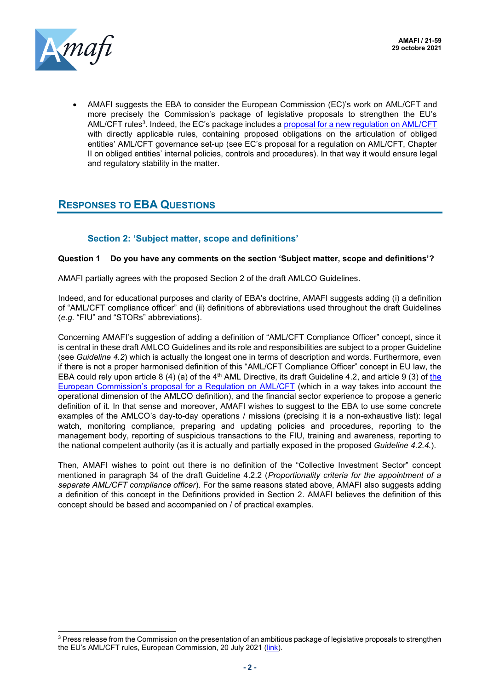

• AMAFI suggests the EBA to consider the European Commission (EC)'s work on AML/CFT and more precisely the Commission's package of legislative proposals to strengthen the EU's AML/CFT rules<sup>3</sup>. Indeed, the EC's package includes a <u>[proposal for a new regulation on AML/CFT](https://eur-lex.europa.eu/legal-content/EN/TXT/?uri=CELEX%3A52021PC0420)</u> with directly applicable rules, containing proposed obligations on the articulation of obliged entities' AML/CFT governance set-up (see EC's proposal for a regulation on AML/CFT, Chapter II on obliged entities' internal policies, controls and procedures). In that way it would ensure legal and regulatory stability in the matter.

## **RESPONSES TO EBA QUESTIONS**

### **Section 2: 'Subject matter, scope and definitions'**

#### **Question 1 Do you have any comments on the section 'Subject matter, scope and definitions'?**

AMAFI partially agrees with the proposed Section 2 of the draft AMLCO Guidelines.

Indeed, and for educational purposes and clarity of EBA's doctrine, AMAFI suggests adding (i) a definition of "AML/CFT compliance officer" and (ii) definitions of abbreviations used throughout the draft Guidelines (*e.g.* "FIU" and "STORs" abbreviations).

Concerning AMAFI's suggestion of adding a definition of "AML/CFT Compliance Officer" concept, since it is central in these draft AMLCO Guidelines and its role and responsibilities are subject to a proper Guideline (see *Guideline 4.2*) which is actually the longest one in terms of description and words. Furthermore, even if there is not a proper harmonised definition of this "AML/CFT Compliance Officer" concept in EU law, the EBA could rely upon article 8 (4) (a) of [the](https://eur-lex.europa.eu/legal-content/EN/TXT/?uri=CELEX%3A52021PC0420) 4<sup>th</sup> AML Directive, its draft Guideline 4.2, and article 9 (3) of the European Commission's [proposal for a Regulation on AML/CFT](https://eur-lex.europa.eu/legal-content/EN/TXT/?uri=CELEX%3A52021PC0420) (which in a way takes into account the operational dimension of the AMLCO definition), and the financial sector experience to propose a generic definition of it. In that sense and moreover, AMAFI wishes to suggest to the EBA to use some concrete examples of the AMLCO's day-to-day operations / missions (precising it is a non-exhaustive list): legal watch, monitoring compliance, preparing and updating policies and procedures, reporting to the management body, reporting of suspicious transactions to the FIU, training and awareness, reporting to the national competent authority (as it is actually and partially exposed in the proposed *Guideline 4.2.4.*).

Then, AMAFI wishes to point out there is no definition of the "Collective Investment Sector" concept mentioned in paragraph 34 of the draft Guideline 4.2.2 (*Proportionality criteria for the appointment of a separate AML/CFT compliance officer*). For the same reasons stated above, AMAFI also suggests adding a definition of this concept in the Definitions provided in Section 2. AMAFI believes the definition of this concept should be based and accompanied on / of practical examples.

<sup>&</sup>lt;sup>3</sup> Press release from the Commission on the presentation of an ambitious package of legislative proposals to strengthen the EU's AML/CFT rules, European Commission, 20 July 2021 ([link\)](https://ec.europa.eu/commission/presscorner/detail/en/ip_21_3690).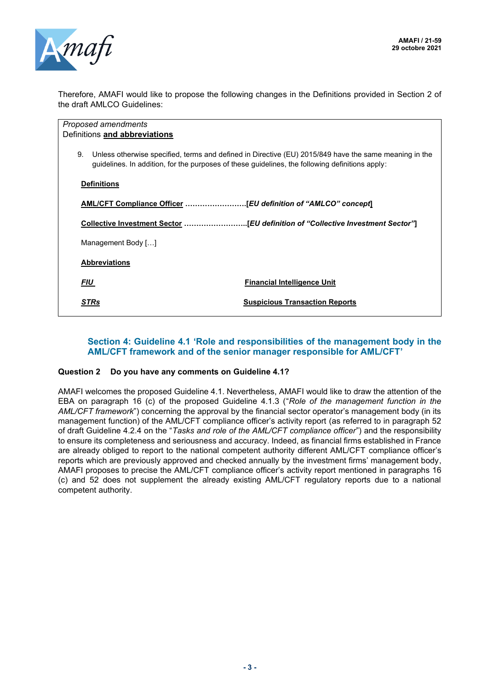

Therefore, AMAFI would like to propose the following changes in the Definitions provided in Section 2 of the draft AMLCO Guidelines:

| Proposed amendments                                                                                                                                                                                            |                                       |
|----------------------------------------------------------------------------------------------------------------------------------------------------------------------------------------------------------------|---------------------------------------|
| Definitions and abbreviations                                                                                                                                                                                  |                                       |
| Unless otherwise specified, terms and defined in Directive (EU) 2015/849 have the same meaning in the<br>9.<br>guidelines. In addition, for the purposes of these guidelines, the following definitions apply: |                                       |
| <b>Definitions</b>                                                                                                                                                                                             |                                       |
|                                                                                                                                                                                                                |                                       |
|                                                                                                                                                                                                                |                                       |
| Management Body []                                                                                                                                                                                             |                                       |
| <b>Abbreviations</b>                                                                                                                                                                                           |                                       |
| <b>FIU</b>                                                                                                                                                                                                     | <b>Financial Intelligence Unit</b>    |
| <b>STRs</b>                                                                                                                                                                                                    | <b>Suspicious Transaction Reports</b> |

### **Section 4: Guideline 4.1 'Role and responsibilities of the management body in the AML/CFT framework and of the senior manager responsible for AML/CFT'**

#### **Question 2 Do you have any comments on Guideline 4.1?**

AMAFI welcomes the proposed Guideline 4.1. Nevertheless, AMAFI would like to draw the attention of the EBA on paragraph 16 (c) of the proposed Guideline 4.1.3 ("*Role of the management function in the AML/CFT framework*") concerning the approval by the financial sector operator's management body (in its management function) of the AML/CFT compliance officer's activity report (as referred to in paragraph 52 of draft Guideline 4.2.4 on the "*Tasks and role of the AML/CFT compliance officer*") and the responsibility to ensure its completeness and seriousness and accuracy. Indeed, as financial firms established in France are already obliged to report to the national competent authority different AML/CFT compliance officer's reports which are previously approved and checked annually by the investment firms' management body, AMAFI proposes to precise the AML/CFT compliance officer's activity report mentioned in paragraphs 16 (c) and 52 does not supplement the already existing AML/CFT regulatory reports due to a national competent authority.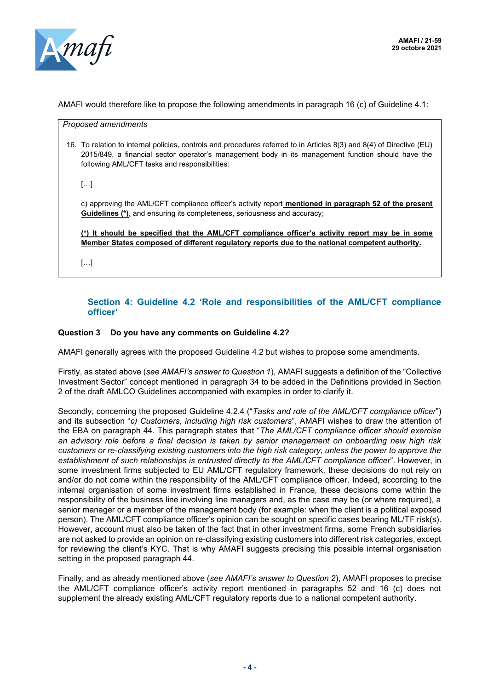

AMAFI would therefore like to propose the following amendments in paragraph 16 (c) of Guideline 4.1:

*Proposed amendments*

16. To relation to internal policies, controls and procedures referred to in Articles 8(3) and 8(4) of Directive (EU) 2015/849, a financial sector operator's management body in its management function should have the following AML/CFT tasks and responsibilities:

[…]

c) approving the AML/CFT compliance officer's activity report **mentioned in paragraph 52 of the present Guidelines (\*)**, and ensuring its completeness, seriousness and accuracy;

**(\*) It should be specified that the AML/CFT compliance officer's activity report may be in some Member States composed of different regulatory reports due to the national competent authority.**

[…]

#### **Section 4: Guideline 4.2 'Role and responsibilities of the AML/CFT compliance officer'**

#### **Question 3 Do you have any comments on Guideline 4.2?**

AMAFI generally agrees with the proposed Guideline 4.2 but wishes to propose some amendments.

Firstly, as stated above (*see AMAFI's answer to Question 1*), AMAFI suggests a definition of the "Collective Investment Sector" concept mentioned in paragraph 34 to be added in the Definitions provided in Section 2 of the draft AMLCO Guidelines accompanied with examples in order to clarify it.

Secondly, concerning the proposed Guideline 4.2.4 ("*Tasks and role of the AML/CFT compliance officer*") and its subsection "*c) Customers, including high risk customers*", AMAFI wishes to draw the attention of the EBA on paragraph 44. This paragraph states that "*The AML/CFT compliance officer should exercise an advisory role before a final decision is taken by senior management on onboarding new high risk customers or re-classifying existing customers into the high risk category, unless the power to approve the establishment of such relationships is entrusted directly to the AML/CFT compliance officer*". However, in some investment firms subjected to EU AML/CFT regulatory framework, these decisions do not rely on and/or do not come within the responsibility of the AML/CFT compliance officer. Indeed, according to the internal organisation of some investment firms established in France, these decisions come within the responsibility of the business line involving line managers and, as the case may be (or where required), a senior manager or a member of the management body (for example: when the client is a political exposed person). The AML/CFT compliance officer's opinion can be sought on specific cases bearing ML/TF risk(s). However, account must also be taken of the fact that in other investment firms, some French subsidiaries are not asked to provide an opinion on re-classifying existing customers into different risk categories, except for reviewing the client's KYC. That is why AMAFI suggests precising this possible internal organisation setting in the proposed paragraph 44.

Finally, and as already mentioned above (*see AMAFI's answer to Question 2*), AMAFI proposes to precise the AML/CFT compliance officer's activity report mentioned in paragraphs 52 and 16 (c) does not supplement the already existing AML/CFT regulatory reports due to a national competent authority.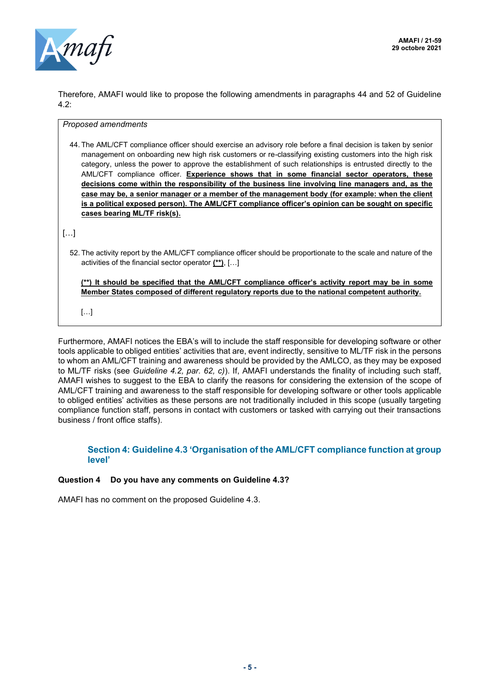

Therefore, AMAFI would like to propose the following amendments in paragraphs 44 and 52 of Guideline 4.2:

*Proposed amendments*

44. The AML/CFT compliance officer should exercise an advisory role before a final decision is taken by senior management on onboarding new high risk customers or re-classifying existing customers into the high risk category, unless the power to approve the establishment of such relationships is entrusted directly to the AML/CFT compliance officer. **Experience shows that in some financial sector operators, these decisions come within the responsibility of the business line involving line managers and, as the case may be, a senior manager or a member of the management body (for example: when the client is a political exposed person). The AML/CFT compliance officer's opinion can be sought on specific cases bearing ML/TF risk(s).**

[…]

52. The activity report by the AML/CFT compliance officer should be proportionate to the scale and nature of the activities of the financial sector operator **(\*\*)**, […]

**(\*\*) It should be specified that the AML/CFT compliance officer's activity report may be in some Member States composed of different regulatory reports due to the national competent authority.** 

 $[...]$ 

Furthermore, AMAFI notices the EBA's will to include the staff responsible for developing software or other tools applicable to obliged entities' activities that are, event indirectly, sensitive to ML/TF risk in the persons to whom an AML/CFT training and awareness should be provided by the AMLCO, as they may be exposed to ML/TF risks (see *Guideline 4.2, par. 62, c)*). If, AMAFI understands the finality of including such staff, AMAFI wishes to suggest to the EBA to clarify the reasons for considering the extension of the scope of AML/CFT training and awareness to the staff responsible for developing software or other tools applicable to obliged entities' activities as these persons are not traditionally included in this scope (usually targeting compliance function staff, persons in contact with customers or tasked with carrying out their transactions business / front office staffs).

#### **Section 4: Guideline 4.3 'Organisation of the AML/CFT compliance function at group level'**

#### **Question 4 Do you have any comments on Guideline 4.3?**

AMAFI has no comment on the proposed Guideline 4.3.